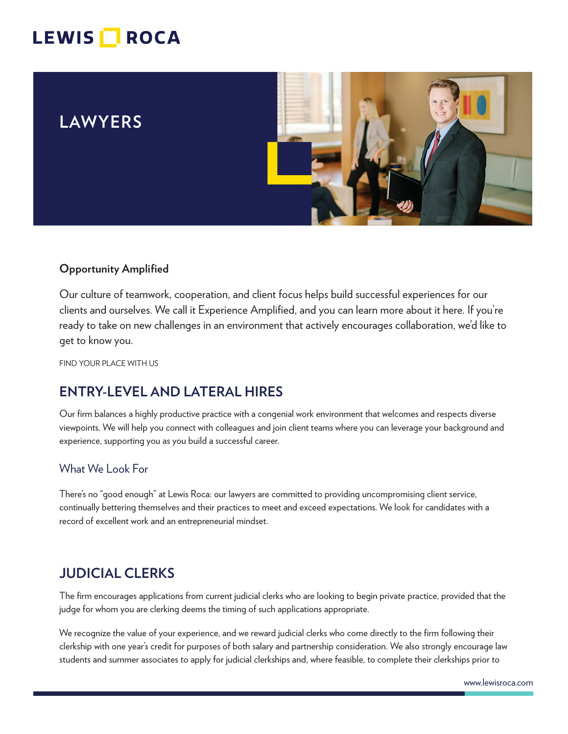# LEWIS **ROCA**

## **LAWYERS**



#### **Opportunity Amplified**

Our culture of teamwork, cooperation, and client focus helps build successful experiences for our clients and ourselves. We call it Experience Amplified, and you can learn more about it here. If you're ready to take on new challenges in an environment that actively encourages collaboration, we'd like to get to know you.

FIND YOUR PLACE WITH US

## **ENTRY-LEVEL AND LATERAL HIRES**

Our firm balances a highly productive practice with a congenial work environment that welcomes and respects diverse viewpoints. We will help you connect with colleagues and join client teams where you can leverage your background and experience, supporting you as you build a successful career.

#### What We Look For

There's no "good enough" at Lewis Roca: our lawyers are committed to providing uncompromising client service, continually bettering themselves and their practices to meet and exceed expectations. We look for candidates with a record of excellent work and an entrepreneurial mindset.

## **JUDICIAL CLERKS**

The firm encourages applications from current judicial clerks who are looking to begin private practice, provided that the judge for whom you are clerking deems the timing of such applications appropriate.

We recognize the value of your experience, and we reward judicial clerks who come directly to the firm following their clerkship with one year's credit for purposes of both salary and partnership consideration. We also strongly encourage law students and summer associates to apply for judicial clerkships and, where feasible, to complete their clerkships prior to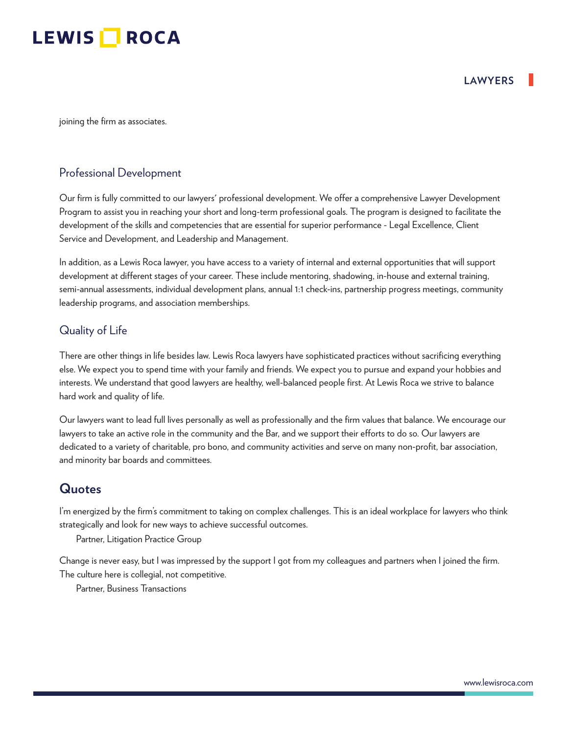

joining the firm as associates.

#### Professional Development

Our firm is fully committed to our lawyers' professional development. We offer a comprehensive Lawyer Development Program to assist you in reaching your short and long-term professional goals. The program is designed to facilitate the development of the skills and competencies that are essential for superior performance - Legal Excellence, Client Service and Development, and Leadership and Management.

In addition, as a Lewis Roca lawyer, you have access to a variety of internal and external opportunities that will support development at different stages of your career. These include mentoring, shadowing, in-house and external training, semi-annual assessments, individual development plans, annual 1:1 check-ins, partnership progress meetings, community leadership programs, and association memberships.

#### Quality of Life

There are other things in life besides law. Lewis Roca lawyers have sophisticated practices without sacrificing everything else. We expect you to spend time with your family and friends. We expect you to pursue and expand your hobbies and interests. We understand that good lawyers are healthy, well-balanced people first. At Lewis Roca we strive to balance hard work and quality of life.

Our lawyers want to lead full lives personally as well as professionally and the firm values that balance. We encourage our lawyers to take an active role in the community and the Bar, and we support their efforts to do so. Our lawyers are dedicated to a variety of charitable, pro bono, and community activities and serve on many non-profit, bar association, and minority bar boards and committees.

#### **Quotes**

I'm energized by the firm's commitment to taking on complex challenges. This is an ideal workplace for lawyers who think strategically and look for new ways to achieve successful outcomes.

Partner, Litigation Practice Group

Change is never easy, but I was impressed by the support I got from my colleagues and partners when I joined the firm. The culture here is collegial, not competitive.

Partner, Business Transactions